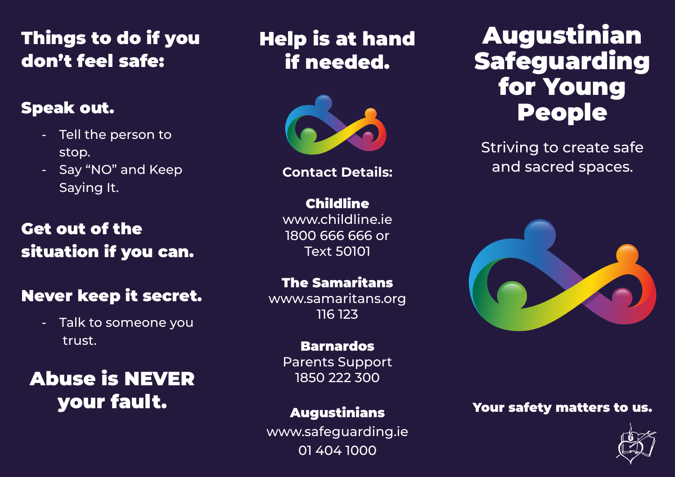## Things to do if you don't feel safe:

### Speak out.

- Tell the person to stop.
- Say "NO" and Keep Saying It.

## Get out of the situation if you can.

### Never keep it secret.

- Talk to someone you trust.

Abuse is NEVER your fault.

## Help is at hand if needed.



**Contact Details:**

Childline www.childline.ie 1800 666 666 or Text 50101

#### The Samaritans

www.samaritans.org 116 123

### Barnardos

Parents Support 1850 222 300

### Augustinians

www.safeguarding.ie 01 404 1000

# Augustinian Safeguarding for Young People

Striving to create safe and sacred spaces.



### Your safety matters to us.